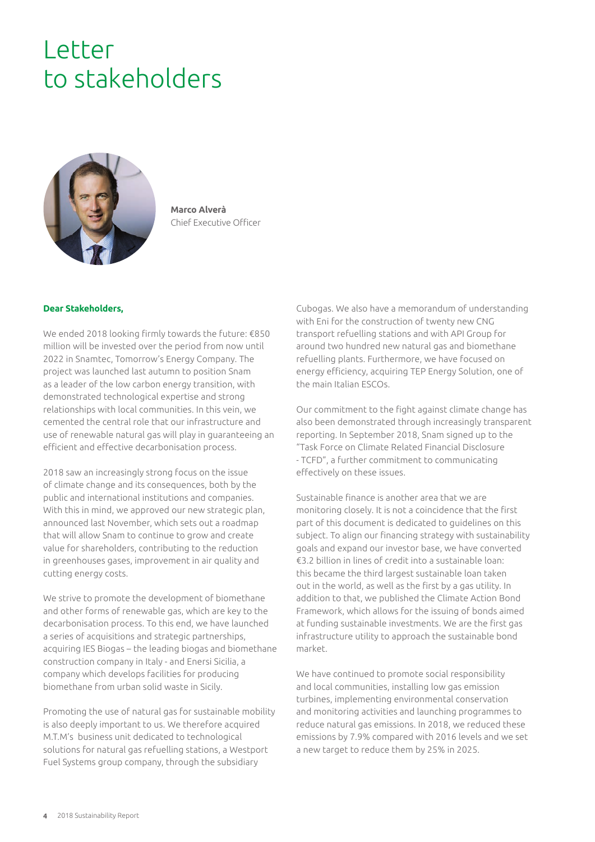## Letter to stakeholders



**Marco Alverà** Chief Executive Officer

## **Dear Stakeholders,**

We ended 2018 looking firmly towards the future: €850 million will be invested over the period from now until 2022 in Snamtec, Tomorrow's Energy Company. The project was launched last autumn to position Snam as a leader of the low carbon energy transition, with demonstrated technological expertise and strong relationships with local communities. In this vein, we cemented the central role that our infrastructure and use of renewable natural gas will play in guaranteeing an efficient and effective decarbonisation process.

2018 saw an increasingly strong focus on the issue of climate change and its consequences, both by the public and international institutions and companies. With this in mind, we approved our new strategic plan, announced last November, which sets out a roadmap that will allow Snam to continue to grow and create value for shareholders, contributing to the reduction in greenhouses gases, improvement in air quality and cutting energy costs.

We strive to promote the development of biomethane and other forms of renewable gas, which are key to the decarbonisation process. To this end, we have launched a series of acquisitions and strategic partnerships, acquiring IES Biogas – the leading biogas and biomethane construction company in Italy - and Enersi Sicilia, a company which develops facilities for producing biomethane from urban solid waste in Sicily.

Promoting the use of natural gas for sustainable mobility is also deeply important to us. We therefore acquired M.T.M's business unit dedicated to technological solutions for natural gas refuelling stations, a Westport Fuel Systems group company, through the subsidiary

Cubogas. We also have a memorandum of understanding with Eni for the construction of twenty new CNG transport refuelling stations and with API Group for around two hundred new natural gas and biomethane refuelling plants. Furthermore, we have focused on energy efficiency, acquiring TEP Energy Solution, one of the main Italian ESCOs.

Our commitment to the fight against climate change has also been demonstrated through increasingly transparent reporting. In September 2018, Snam signed up to the "Task Force on Climate Related Financial Disclosure - TCFD", a further commitment to communicating effectively on these issues.

Sustainable finance is another area that we are monitoring closely. It is not a coincidence that the first part of this document is dedicated to guidelines on this subject. To align our financing strategy with sustainability goals and expand our investor base, we have converted €3.2 billion in lines of credit into a sustainable loan: this became the third largest sustainable loan taken out in the world, as well as the first by a gas utility. In addition to that, we published the Climate Action Bond Framework, which allows for the issuing of bonds aimed at funding sustainable investments. We are the first gas infrastructure utility to approach the sustainable bond market.

We have continued to promote social responsibility and local communities, installing low gas emission turbines, implementing environmental conservation and monitoring activities and launching programmes to reduce natural gas emissions. In 2018, we reduced these emissions by 7.9% compared with 2016 levels and we set a new target to reduce them by 25% in 2025.